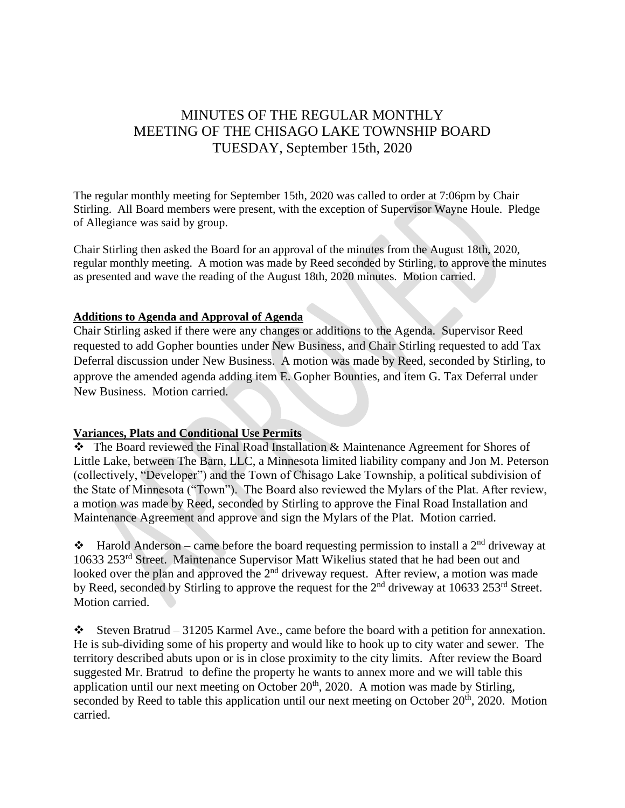# MINUTES OF THE REGULAR MONTHLY MEETING OF THE CHISAGO LAKE TOWNSHIP BOARD TUESDAY, September 15th, 2020

The regular monthly meeting for September 15th, 2020 was called to order at 7:06pm by Chair Stirling. All Board members were present, with the exception of Supervisor Wayne Houle. Pledge of Allegiance was said by group.

Chair Stirling then asked the Board for an approval of the minutes from the August 18th, 2020, regular monthly meeting. A motion was made by Reed seconded by Stirling, to approve the minutes as presented and wave the reading of the August 18th, 2020 minutes. Motion carried.

# **Additions to Agenda and Approval of Agenda**

Chair Stirling asked if there were any changes or additions to the Agenda. Supervisor Reed requested to add Gopher bounties under New Business, and Chair Stirling requested to add Tax Deferral discussion under New Business. A motion was made by Reed, seconded by Stirling, to approve the amended agenda adding item E. Gopher Bounties, and item G. Tax Deferral under New Business. Motion carried.

## **Variances, Plats and Conditional Use Permits**

❖ The Board reviewed the Final Road Installation & Maintenance Agreement for Shores of Little Lake, between The Barn, LLC, a Minnesota limited liability company and Jon M. Peterson (collectively, "Developer") and the Town of Chisago Lake Township, a political subdivision of the State of Minnesota ("Town"). The Board also reviewed the Mylars of the Plat. After review, a motion was made by Reed, seconded by Stirling to approve the Final Road Installation and Maintenance Agreement and approve and sign the Mylars of the Plat. Motion carried.

 $\triangle$  Harold Anderson – came before the board requesting permission to install a 2<sup>nd</sup> driveway at 10633 253rd Street. Maintenance Supervisor Matt Wikelius stated that he had been out and looked over the plan and approved the  $2<sup>nd</sup>$  driveway request. After review, a motion was made by Reed, seconded by Stirling to approve the request for the 2<sup>nd</sup> driveway at 10633 253<sup>rd</sup> Street. Motion carried.

 $\cdot$  Steven Bratrud – 31205 Karmel Ave., came before the board with a petition for annexation. He is sub-dividing some of his property and would like to hook up to city water and sewer. The territory described abuts upon or is in close proximity to the city limits. After review the Board suggested Mr. Bratrud to define the property he wants to annex more and we will table this application until our next meeting on October  $20<sup>th</sup>$ , 2020. A motion was made by Stirling, seconded by Reed to table this application until our next meeting on October  $20<sup>th</sup>$ , 2020. Motion carried.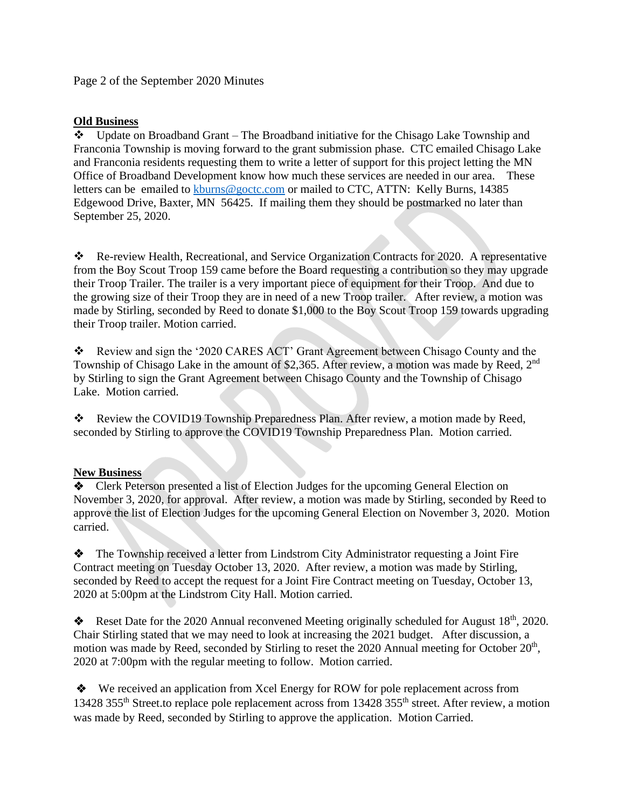Page 2 of the September 2020 Minutes

## **Old Business**

❖ Update on Broadband Grant – The Broadband initiative for the Chisago Lake Township and Franconia Township is moving forward to the grant submission phase. CTC emailed Chisago Lake and Franconia residents requesting them to write a letter of support for this project letting the MN Office of Broadband Development know how much these services are needed in our area. These letters can be emailed to **kburns@goctc.com** or mailed to CTC, ATTN: Kelly Burns, 14385 Edgewood Drive, Baxter, MN 56425. If mailing them they should be postmarked no later than September 25, 2020.

❖ Re-review Health, Recreational, and Service Organization Contracts for 2020. A representative from the Boy Scout Troop 159 came before the Board requesting a contribution so they may upgrade their Troop Trailer. The trailer is a very important piece of equipment for their Troop. And due to the growing size of their Troop they are in need of a new Troop trailer. After review, a motion was made by Stirling, seconded by Reed to donate \$1,000 to the Boy Scout Troop 159 towards upgrading their Troop trailer. Motion carried.

❖ Review and sign the '2020 CARES ACT' Grant Agreement between Chisago County and the Township of Chisago Lake in the amount of \$2,365. After review, a motion was made by Reed, 2<sup>nd</sup> by Stirling to sign the Grant Agreement between Chisago County and the Township of Chisago Lake. Motion carried.

❖ Review the COVID19 Township Preparedness Plan. After review, a motion made by Reed, seconded by Stirling to approve the COVID19 Township Preparedness Plan. Motion carried.

# **New Business**

❖ Clerk Peterson presented a list of Election Judges for the upcoming General Election on November 3, 2020, for approval. After review, a motion was made by Stirling, seconded by Reed to approve the list of Election Judges for the upcoming General Election on November 3, 2020. Motion carried.

❖ The Township received a letter from Lindstrom City Administrator requesting a Joint Fire Contract meeting on Tuesday October 13, 2020. After review, a motion was made by Stirling, seconded by Reed to accept the request for a Joint Fire Contract meeting on Tuesday, October 13, 2020 at 5:00pm at the Lindstrom City Hall. Motion carried.

◆ Reset Date for the 2020 Annual reconvened Meeting originally scheduled for August  $18<sup>th</sup>$ , 2020. Chair Stirling stated that we may need to look at increasing the 2021 budget. After discussion, a motion was made by Reed, seconded by Stirling to reset the 2020 Annual meeting for October 20<sup>th</sup>, 2020 at 7:00pm with the regular meeting to follow. Motion carried.

❖ We received an application from Xcel Energy for ROW for pole replacement across from 13428 355<sup>th</sup> Street.to replace pole replacement across from 13428 355<sup>th</sup> street. After review, a motion was made by Reed, seconded by Stirling to approve the application. Motion Carried.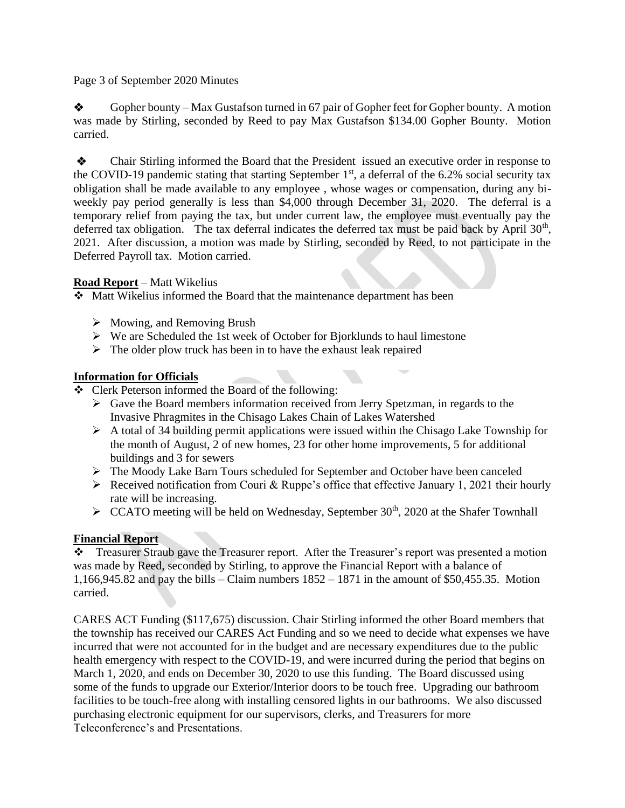Page 3 of September 2020 Minutes

 $\diamondsuit$  Gopher bounty – Max Gustafson turned in 67 pair of Gopher feet for Gopher bounty. A motion was made by Stirling, seconded by Reed to pay Max Gustafson \$134.00 Gopher Bounty. Motion carried.

❖ Chair Stirling informed the Board that the President issued an executive order in response to the COVID-19 pandemic stating that starting September  $1<sup>st</sup>$ , a deferral of the 6.2% social security tax obligation shall be made available to any employee , whose wages or compensation, during any biweekly pay period generally is less than \$4,000 through December 31, 2020. The deferral is a temporary relief from paying the tax, but under current law, the employee must eventually pay the deferred tax obligation. The tax deferral indicates the deferred tax must be paid back by April  $30<sup>th</sup>$ , 2021. After discussion, a motion was made by Stirling, seconded by Reed, to not participate in the Deferred Payroll tax. Motion carried.

## **Road Report** – Matt Wikelius

❖ Matt Wikelius informed the Board that the maintenance department has been

- ➢ Mowing, and Removing Brush
- ➢ We are Scheduled the 1st week of October for Bjorklunds to haul limestone
- $\triangleright$  The older plow truck has been in to have the exhaust leak repaired

## **Information for Officials**

- ❖ Clerk Peterson informed the Board of the following:
	- ➢ Gave the Board members information received from Jerry Spetzman, in regards to the Invasive Phragmites in the Chisago Lakes Chain of Lakes Watershed
	- $\triangleright$  A total of 34 building permit applications were issued within the Chisago Lake Township for the month of August, 2 of new homes, 23 for other home improvements, 5 for additional buildings and 3 for sewers
	- ➢ The Moody Lake Barn Tours scheduled for September and October have been canceled
	- $\triangleright$  Received notification from Couri & Ruppe's office that effective January 1, 2021 their hourly rate will be increasing.
	- $\triangleright$  CCATO meeting will be held on Wednesday, September 30<sup>th</sup>, 2020 at the Shafer Townhall

# **Financial Report**

❖ Treasurer Straub gave the Treasurer report. After the Treasurer's report was presented a motion was made by Reed, seconded by Stirling, to approve the Financial Report with a balance of 1,166,945.82 and pay the bills – Claim numbers 1852 – 1871 in the amount of \$50,455.35. Motion carried.

CARES ACT Funding (\$117,675) discussion. Chair Stirling informed the other Board members that the township has received our CARES Act Funding and so we need to decide what expenses we have incurred that were not accounted for in the budget and are necessary expenditures due to the public health emergency with respect to the COVID-19, and were incurred during the period that begins on March 1, 2020, and ends on December 30, 2020 to use this funding. The Board discussed using some of the funds to upgrade our Exterior/Interior doors to be touch free. Upgrading our bathroom facilities to be touch-free along with installing censored lights in our bathrooms. We also discussed purchasing electronic equipment for our supervisors, clerks, and Treasurers for more Teleconference's and Presentations.